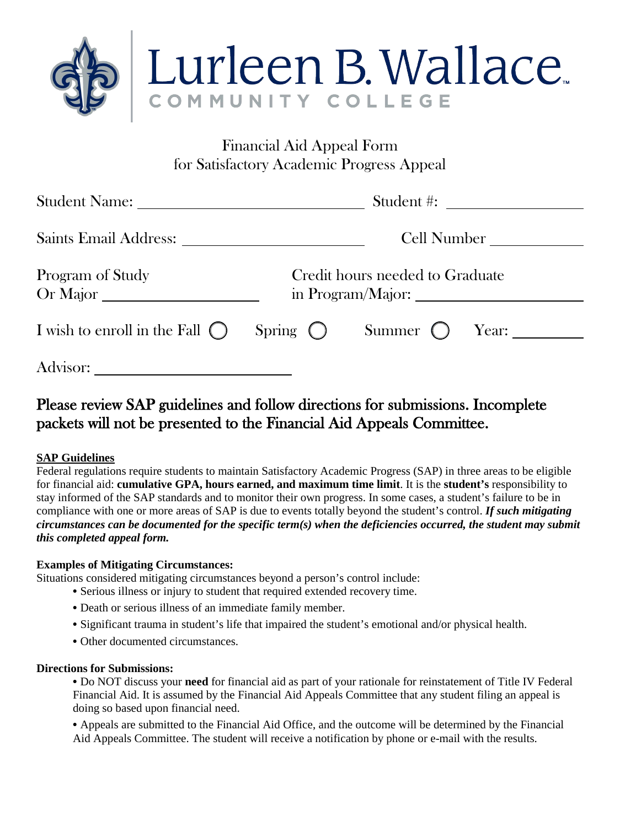

# Financial Aid Appeal Form for Satisfactory Academic Progress Appeal

|                                         | Student #:                                           |                         |  |
|-----------------------------------------|------------------------------------------------------|-------------------------|--|
|                                         |                                                      | Cell Number             |  |
| Program of Study<br>Or Major            | Credit hours needed to Graduate<br>in Program/Major: |                         |  |
| I wish to enroll in the Fall $\bigcirc$ | Spring $\bigcirc$                                    | Summer $\bigcirc$ Year: |  |
| Advisor:                                |                                                      |                         |  |

# Please review SAP guidelines and follow directions for submissions. Incomplete packets will not be presented to the Financial Aid Appeals Committee.

### **SAP Guidelines**

Federal regulations require students to maintain Satisfactory Academic Progress (SAP) in three areas to be eligible for financial aid: **cumulative GPA, hours earned, and maximum time limit**. It is the **student's** responsibility to stay informed of the SAP standards and to monitor their own progress. In some cases, a student's failure to be in compliance with one or more areas of SAP is due to events totally beyond the student's control. *If such mitigating circumstances can be documented for the specific term(s) when the deficiencies occurred, the student may submit this completed appeal form.* 

### **Examples of Mitigating Circumstances:**

Situations considered mitigating circumstances beyond a person's control include:

- **•** Serious illness or injury to student that required extended recovery time.
- **•** Death or serious illness of an immediate family member.
- **•** Significant trauma in student's life that impaired the student's emotional and/or physical health.
- **•** Other documented circumstances.

### **Directions for Submissions:**

**•** Do NOT discuss your **need** for financial aid as part of your rationale for reinstatement of Title IV Federal Financial Aid. It is assumed by the Financial Aid Appeals Committee that any student filing an appeal is doing so based upon financial need.

**•** Appeals are submitted to the Financial Aid Office, and the outcome will be determined by the Financial Aid Appeals Committee. The student will receive a notification by phone or e-mail with the results.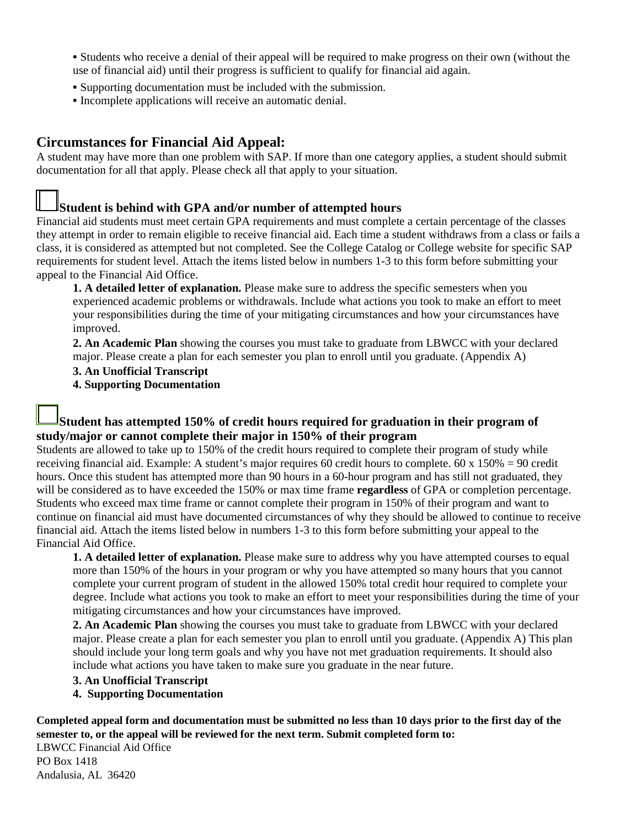- Students who receive a denial of their appeal will be required to make progress on their own (without the use of financial aid) until their progress is sufficient to qualify for financial aid again.
- Supporting documentation must be included with the submission.
- Incomplete applications will receive an automatic denial.

## **Circumstances for Financial Aid Appeal:**

A student may have more than one problem with SAP. If more than one category applies, a student should submit documentation for all that apply. Please check all that apply to your situation.

### **Student is behind with GPA and/or number of attempted hours**

Financial aid students must meet certain GPA requirements and must complete a certain percentage of the classes they attempt in order to remain eligible to receive financial aid. Each time a student withdraws from a class or fails a class, it is considered as attempted but not completed. See the College Catalog or College website for specific SAP requirements for student level. Attach the items listed below in numbers 1-3 to this form before submitting your appeal to the Financial Aid Office.

**1. A detailed letter of explanation.** Please make sure to address the specific semesters when you experienced academic problems or withdrawals. Include what actions you took to make an effort to meet your responsibilities during the time of your mitigating circumstances and how your circumstances have improved.

**2. An Academic Plan** showing the courses you must take to graduate from LBWCC with your declared major. Please create a plan for each semester you plan to enroll until you graduate. (Appendix A)

### **3. An Unofficial Transcript**

**4. Supporting Documentation**

### **Student has attempted 150% of credit hours required for graduation in their program of study/major or cannot complete their major in 150% of their program**

Students are allowed to take up to 150% of the credit hours required to complete their program of study while receiving financial aid. Example: A student's major requires 60 credit hours to complete. 60 x 150% = 90 credit hours. Once this student has attempted more than 90 hours in a 60-hour program and has still not graduated, they will be considered as to have exceeded the 150% or max time frame **regardless** of GPA or completion percentage. Students who exceed max time frame or cannot complete their program in 150% of their program and want to continue on financial aid must have documented circumstances of why they should be allowed to continue to receive financial aid. Attach the items listed below in numbers 1-3 to this form before submitting your appeal to the Financial Aid Office.

**1. A detailed letter of explanation.** Please make sure to address why you have attempted courses to equal more than 150% of the hours in your program or why you have attempted so many hours that you cannot complete your current program of student in the allowed 150% total credit hour required to complete your degree. Include what actions you took to make an effort to meet your responsibilities during the time of your mitigating circumstances and how your circumstances have improved.

**2. An Academic Plan** showing the courses you must take to graduate from LBWCC with your declared major. Please create a plan for each semester you plan to enroll until you graduate. (Appendix A) This plan should include your long term goals and why you have not met graduation requirements. It should also include what actions you have taken to make sure you graduate in the near future.

### **3. An Unofficial Transcript**

### **4. Supporting Documentation**

**Completed appeal form and documentation must be submitted no less than 10 days prior to the first day of the semester to, or the appeal will be reviewed for the next term. Submit completed form to:** 

LBWCC Financial Aid Office PO Box 1418 Andalusia, AL 36420